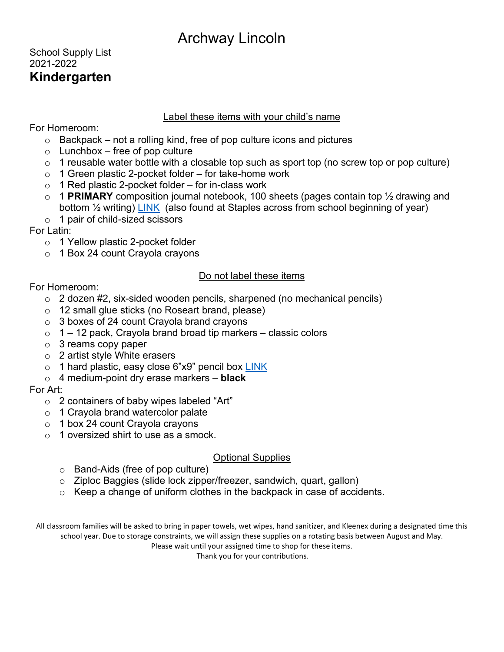## School Supply List 2021-2022 **Kindergarten**

#### Label these items with your child's name

For Homeroom:

- $\circ$  Backpack not a rolling kind, free of pop culture icons and pictures
- $\circ$  Lunchbox free of pop culture
- $\circ$  1 reusable water bottle with a closable top such as sport top (no screw top or pop culture)
- $\circ$  1 Green plastic 2-pocket folder for take-home work
- $\circ$  1 Red plastic 2-pocket folder for in-class work
- o 1 **PRIMARY** composition journal notebook, 100 sheets (pages contain top ½ drawing and bottom <sup>1/2</sup> writing) [LINK](https://www.officedepot.com/a/products/356555/Mead-K-2-Classroom-Primary-Journal/?cm_mmc=PLA-_-Google-_-Notebooks_Pads-_-356555-VQ6-232731890134-VQ16-c-VQ17-pla-VQ18-online-VQ19-356555-VQ20-383775299509-VQ21--VQ22-985438965-VQ27-50332353058&mrkgcl=1104&mrkgadid=3253333560&rkg_id=h-8e8eb00de4616d094fc6bb40a90d02f1_t-1518115443&adpos=1o1&creative=232731890134&device=c&matchtype=&network=g&gclid=EAIaIQobChMIuNyJ2_yW2QIVA2t-Ch1ljQUlEAQYASABEgL3AvD_BwE) (also found at Staples across from school beginning of year)
- $\circ$  1 pair of child-sized scissors

For Latin:

- o 1 Yellow plastic 2-pocket folder
- o 1 Box 24 count Crayola crayons

## Do not label these items

For Homeroom:

- o 2 dozen #2, six-sided wooden pencils, sharpened (no mechanical pencils)
- o 12 small glue sticks (no Roseart brand, please)
- $\circ$  3 boxes of 24 count Crayola brand crayons
- $\circ$  1 12 pack, Crayola brand broad tip markers classic colors
- $\circ$  3 reams copy paper
- o 2 artist style White erasers
- o 1 hard plastic, easy close 6"x9" pencil box [LINK](https://www.reallygoodstuff.com/pencil-storage-box-clear-blue/p/701917/tab/k8/)
- o 4 medium-point dry erase markers **black**

For Art:

- o 2 containers of baby wipes labeled "Art"
- o 1 Crayola brand watercolor palate
- o 1 box 24 count Crayola crayons
- o 1 oversized shirt to use as a smock.

## Optional Supplies

- o Band-Aids (free of pop culture)
- o Ziploc Baggies (slide lock zipper/freezer, sandwich, quart, gallon)
- o Keep a change of uniform clothes in the backpack in case of accidents.

All classroom families will be asked to bring in paper towels, wet wipes, hand sanitizer, and Kleenex during a designated time this school year. Due to storage constraints, we will assign these supplies on a rotating basis between August and May.

Please wait until your assigned time to shop for these items.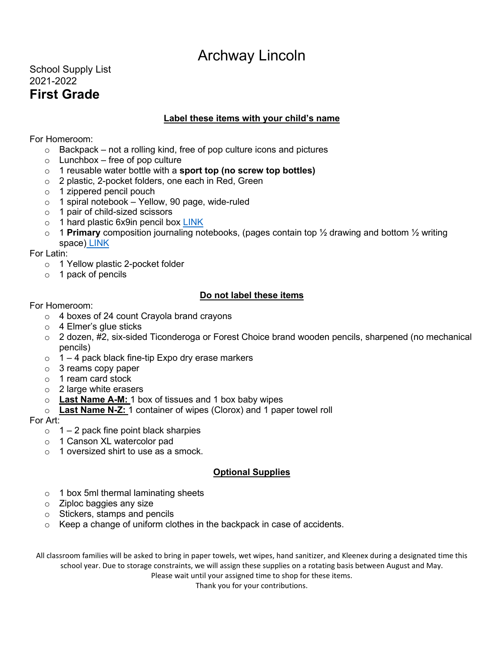## School Supply List 2021-2022 **First Grade**

#### **Label these items with your child's name**

#### For Homeroom:

- o Backpack not a rolling kind, free of pop culture icons and pictures
- $\circ$  Lunchbox free of pop culture
- o 1 reusable water bottle with a **sport top (no screw top bottles)**
- o 2 plastic, 2-pocket folders, one each in Red, Green
- $\circ$  1 zippered pencil pouch
- o 1 spiral notebook Yellow, 90 page, wide-ruled
- o 1 pair of child-sized scissors
- o 1 hard plastic 6x9in pencil box [LINK](https://www.reallygoodstuff.com/pencil-storage-box-clear-blue/p/701917/?cvsfa=4492&cvsfe=2&cvsfhu=373031393137&gclid=Cj0KEQiA6ounBRCq0LKBjKGgysEBEiQAZmpvA0xbXIBe2_F2RbkUJoLQox4yWmtlfmCqNpd3RK9JD0UaAvQ18P8HAQ)
- o 1 **Primary** composition journaling notebooks, (pages contain top ½ drawing and bottom ½ writing space) [LINK](https://www.officedepot.com/a/products/356555/Mead-K-2-Classroom-Primary-Journal/?cm_mmc=PLA-_-Google-_-Notebooks_Pads-_-356555-VQ6-232731890134-VQ16-c-VQ17-pla-VQ18-online-VQ19-356555-VQ20-383775299509-VQ21--VQ22-985438965-VQ27-50332353058&mrkgcl=1104&mrkgadid=3253333560&rkg_id=h-8e8eb00de4616d094fc6bb40a90d02f1_t-1518115443&adpos=1o1&creative=232731890134&device=c&matchtype=&network=g&gclid=EAIaIQobChMIuNyJ2_yW2QIVA2t-Ch1ljQUlEAQYASABEgL3AvD_BwE)

For Latin:

- o 1 Yellow plastic 2-pocket folder
- o 1 pack of pencils

#### **Do not label these items**

#### For Homeroom:

- o 4 boxes of 24 count Crayola brand crayons
- o 4 Elmer's glue sticks
- $\circ$  2 dozen, #2, six-sided Ticonderoga or Forest Choice brand wooden pencils, sharpened (no mechanical pencils)
- $\circ$  1 4 pack black fine-tip Expo dry erase markers
- o 3 reams copy paper
- o 1 ream card stock
- o 2 large white erasers
- o **Last Name A-M:** 1 box of tissues and 1 box baby wipes
- o **Last Name N-Z:** 1 container of wipes (Clorox) and 1 paper towel roll

#### For Art:

- $\circ$  1 2 pack fine point black sharpies
- o 1 Canson XL watercolor pad
- o 1 oversized shirt to use as a smock.

#### **Optional Supplies**

- $\circ$  1 box 5ml thermal laminating sheets
- o Ziploc baggies any size
- o Stickers, stamps and pencils
- o Keep a change of uniform clothes in the backpack in case of accidents.

All classroom families will be asked to bring in paper towels, wet wipes, hand sanitizer, and Kleenex during a designated time this school year. Due to storage constraints, we will assign these supplies on a rotating basis between August and May.

Please wait until your assigned time to shop for these items.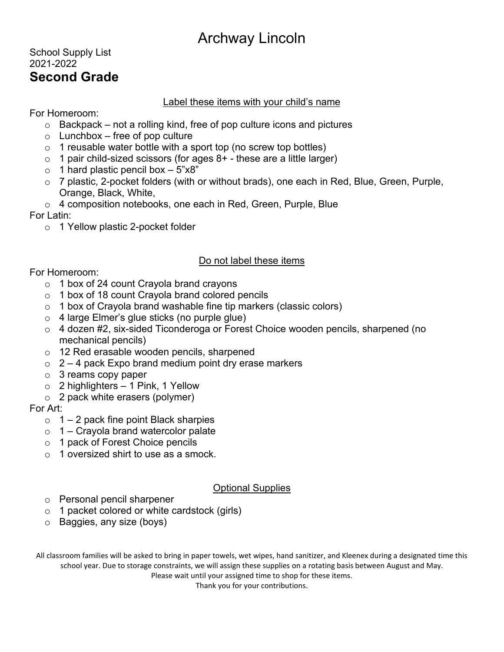## School Supply List 2021-2022 **Second Grade**

#### Label these items with your child's name

For Homeroom:

- $\circ$  Backpack not a rolling kind, free of pop culture icons and pictures
- $\circ$  Lunchbox free of pop culture
- $\circ$  1 reusable water bottle with a sport top (no screw top bottles)
- $\circ$  1 pair child-sized scissors (for ages 8+ these are a little larger)
- $\circ$  1 hard plastic pencil box  $-5"x8"$
- o 7 plastic, 2-pocket folders (with or without brads), one each in Red, Blue, Green, Purple, Orange, Black, White,
- o 4 composition notebooks, one each in Red, Green, Purple, Blue

For Latin:

o 1 Yellow plastic 2-pocket folder

## Do not label these items

For Homeroom:

- o 1 box of 24 count Crayola brand crayons
- $\circ$  1 box of 18 count Crayola brand colored pencils
- $\circ$  1 box of Crayola brand washable fine tip markers (classic colors)
- o 4 large Elmer's glue sticks (no purple glue)
- o 4 dozen #2, six-sided Ticonderoga or Forest Choice wooden pencils, sharpened (no mechanical pencils)
- o 12 Red erasable wooden pencils, sharpened
- $\circ$  2 4 pack Expo brand medium point dry erase markers
- o 3 reams copy paper
- $\circ$  2 highlighters 1 Pink, 1 Yellow
- $\circ$  2 pack white erasers (polymer)

#### For Art:

- $\circ$  1 2 pack fine point Black sharpies
- $\circ$  1 Crayola brand watercolor palate
- o 1 pack of Forest Choice pencils
- o 1 oversized shirt to use as a smock.

## Optional Supplies

- o Personal pencil sharpener
- o 1 packet colored or white cardstock (girls)
- o Baggies, any size (boys)

All classroom families will be asked to bring in paper towels, wet wipes, hand sanitizer, and Kleenex during a designated time this school year. Due to storage constraints, we will assign these supplies on a rotating basis between August and May.

Please wait until your assigned time to shop for these items.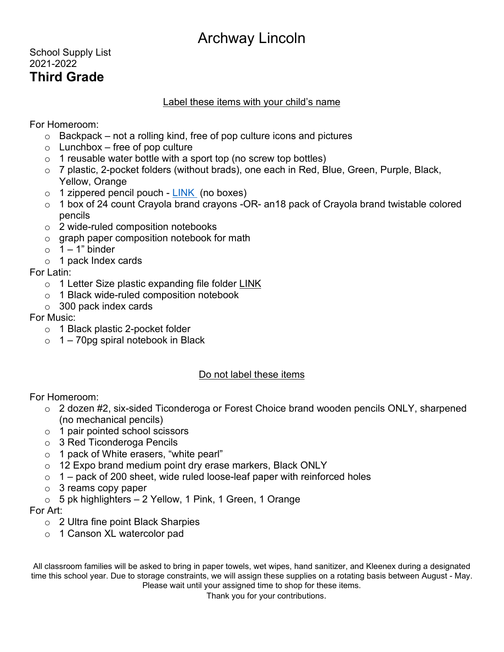## School Supply List 2021-2022 **Third Grade**

## Label these items with your child's name

For Homeroom:

- $\circ$  Backpack not a rolling kind, free of pop culture icons and pictures
- $\circ$  Lunchbox free of pop culture
- $\circ$  1 reusable water bottle with a sport top (no screw top bottles)
- o 7 plastic, 2-pocket folders (without brads), one each in Red, Blue, Green, Purple, Black, Yellow, Orange
- $\circ$  1 zippered pencil pouch [LINK](https://www.amazon.com/Advantus-Zippered-Binder-Enforced-67024/dp/B004I2HYMS/ref=sr_1_11?ie=UTF8&qid=1425591545&sr=8-11&keywords=pencil+pouch) (no boxes)
- o 1 box of 24 count Crayola brand crayons -OR- an18 pack of Crayola brand twistable colored pencils
- o 2 wide-ruled composition notebooks
- o graph paper composition notebook for math
- $\circ$  1 1" binder
- o 1 pack Index cards

For Latin:

- o 1 Letter Size plastic expanding file folder [LINK](https://www.amazon.com/Five-Star-6-Pocket-Expanding-Selected/dp/B006023FZ4/ref=pd_ybh_a_8?_encoding=UTF8&psc=1&refRID=K6YQZCREFS40RRHYE1N0)
- o 1 Black wide-ruled composition notebook
- $\circ$  300 pack index cards

## For Music:

- o 1 Black plastic 2-pocket folder
- $\circ$  1 70pg spiral notebook in Black

## Do not label these items

For Homeroom:

- $\circ$  2 dozen #2, six-sided Ticonderoga or Forest Choice brand wooden pencils ONLY, sharpened (no mechanical pencils)
- o 1 pair pointed school scissors
- o 3 Red Ticonderoga Pencils
- o 1 pack of White erasers, "white pearl"
- o 12 Expo brand medium point dry erase markers, Black ONLY
- $\circ$  1 pack of 200 sheet, wide ruled loose-leaf paper with reinforced holes
- $\circ$  3 reams copy paper
- $\circ$  5 pk highlighters 2 Yellow, 1 Pink, 1 Green, 1 Orange

For Art:

- o 2 Ultra fine point Black Sharpies
- o 1 Canson XL watercolor pad

All classroom families will be asked to bring in paper towels, wet wipes, hand sanitizer, and Kleenex during a designated time this school year. Due to storage constraints, we will assign these supplies on a rotating basis between August - May. Please wait until your assigned time to shop for these items.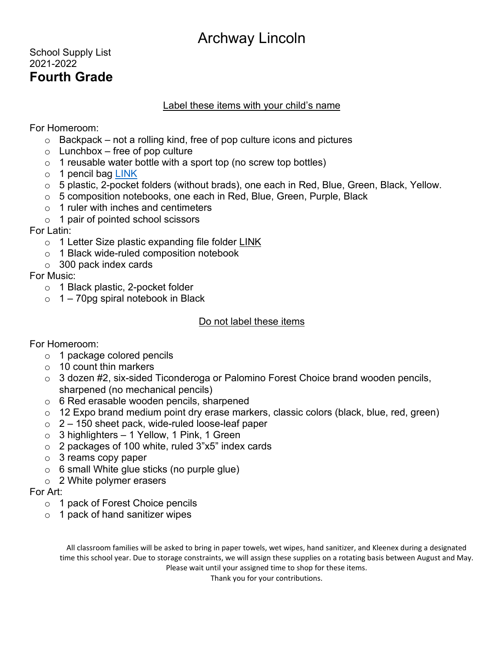## School Supply List 2021-2022 **Fourth Grade**

### Label these items with your child's name

For Homeroom:

- $\circ$  Backpack not a rolling kind, free of pop culture icons and pictures
- $\circ$  Lunchbox free of pop culture
- $\circ$  1 reusable water bottle with a sport top (no screw top bottles)
- o 1 pencil bag [LINK](https://www.amazon.com/Advantus-Zippered-Binder-Enforced-67024/dp/B004I2HYMS/ref=sr_1_11?ie=UTF8&qid=1425591545&sr=8-11&keywords=pencil+pouch)
- o 5 plastic, 2-pocket folders (without brads), one each in Red, Blue, Green, Black, Yellow.
- o 5 composition notebooks, one each in Red, Blue, Green, Purple, Black
- $\circ$  1 ruler with inches and centimeters
- o 1 pair of pointed school scissors

For Latin:

- o 1 Letter Size plastic expanding file folder [LINK](https://www.amazon.com/Five-Star-6-Pocket-Expanding-Selected/dp/B006023FZ4/ref=pd_ybh_a_8?_encoding=UTF8&psc=1&refRID=K6YQZCREFS40RRHYE1N0)
- o 1 Black wide-ruled composition notebook
- $\circ$  300 pack index cards

For Music:

- o 1 Black plastic, 2-pocket folder
- $\circ$  1 70pg spiral notebook in Black

#### Do not label these items

For Homeroom:

- o 1 package colored pencils
- $\circ$  10 count thin markers
- o 3 dozen #2, six-sided Ticonderoga or Palomino Forest Choice brand wooden pencils, sharpened (no mechanical pencils)
- o 6 Red erasable wooden pencils, sharpened
- o 12 Expo brand medium point dry erase markers, classic colors (black, blue, red, green)
- $\circ$  2 150 sheet pack, wide-ruled loose-leaf paper
- $\circ$  3 highlighters 1 Yellow, 1 Pink, 1 Green
- $\circ$  2 packages of 100 white, ruled 3"x5" index cards
- $\circ$  3 reams copy paper
- $\circ$  6 small White glue sticks (no purple glue)
- $\circ$  2 White polymer erasers

#### For Art:

- o 1 pack of Forest Choice pencils
- $\circ$  1 pack of hand sanitizer wipes

All classroom families will be asked to bring in paper towels, wet wipes, hand sanitizer, and Kleenex during a designated time this school year. Due to storage constraints, we will assign these supplies on a rotating basis between August and May. Please wait until your assigned time to shop for these items.